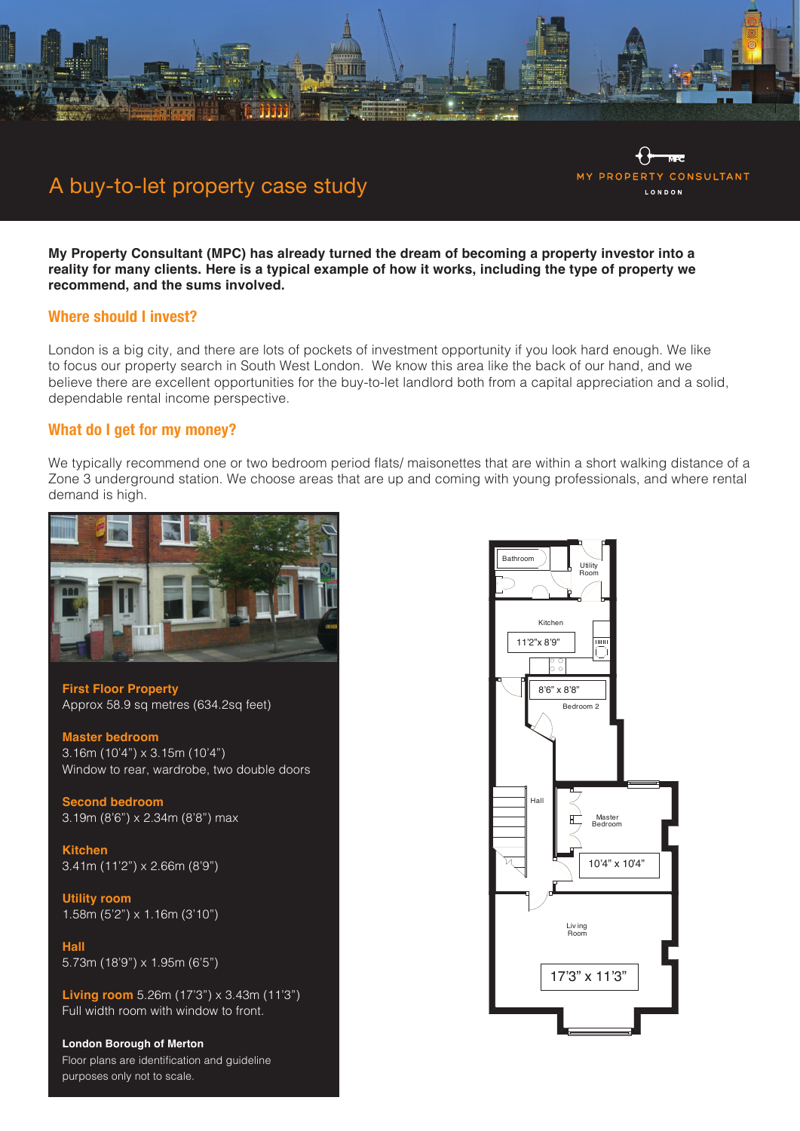

# A buy-to-let property case study

**My Property Consultant (MPC) has already turned the dream of becoming a property investor into a reality for many clients. Here is a typical example of how it works, including the type of property we recommend, and the sums involved.**

# **Where should I invest?**

London is a big city, and there are lots of pockets of investment opportunity if you look hard enough. We like to focus our property search in South West London. We know this area like the back of our hand, and we believe there are excellent opportunities for the buy-to-let landlord both from a capital appreciation and a solid, dependable rental income perspective.

#### **What do I get for my money?**

We typically recommend one or two bedroom period flats/ maisonettes that are within a short walking distance of a Zone 3 underground station. We choose areas that are up and coming with young professionals, and where rental demand is high.



**First Floor Property** Approx 58.9 sq metres (634.2sq feet)

**Master bedroom** 3.16m (10'4") x 3.15m (10'4") Window to rear, wardrobe, two double doors

**Second bedroom** 3.19m (8'6") x 2.34m (8'8") max

**Kitchen** 3.41m (11'2") x 2.66m (8'9")

**Utility room**  1.58m (5'2") x 1.16m (3'10")

**Hall** 5.73m (18'9") x 1.95m (6'5")

**Living room** 5.26m (17'3") x 3.43m (11'3") Full width room with window to front.

**London Borough of Merton** Floor plans are identification and guideline purposes only not to scale.



**MY PROPERTY** 

**CONSULTANT** 

**LONDON**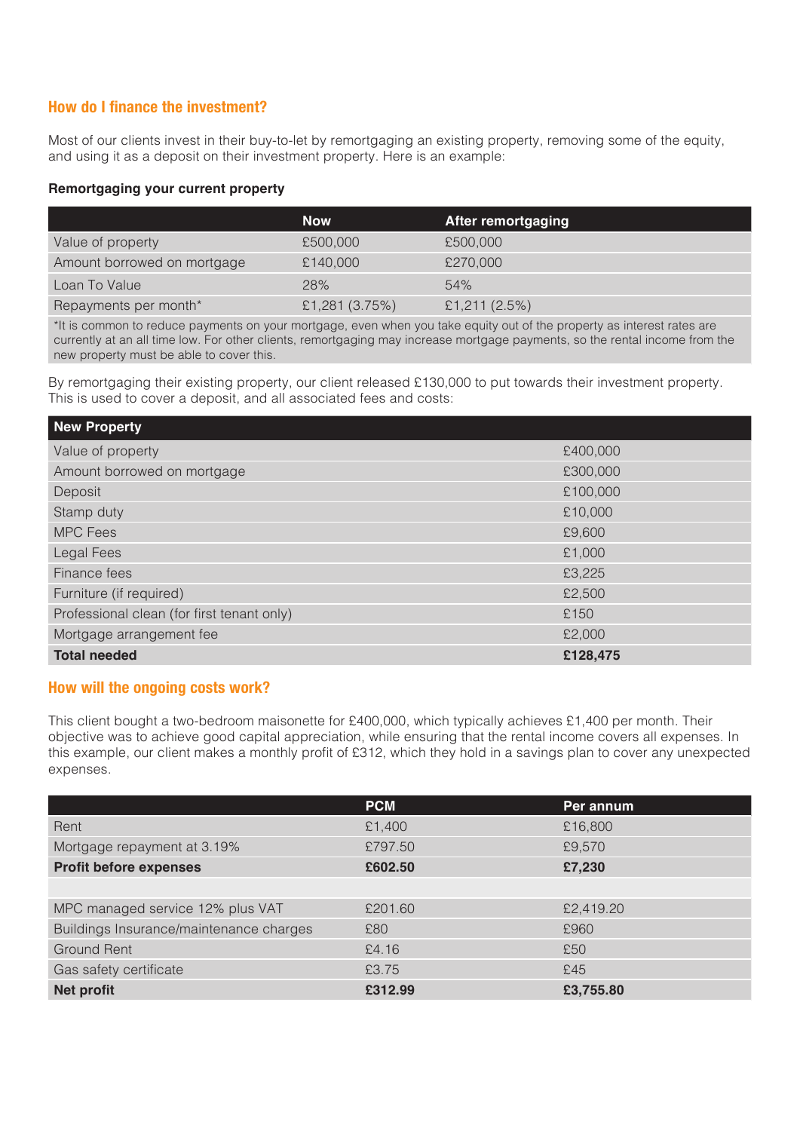# **How do I finance the investment?**

Most of our clients invest in their buy-to-let by remortgaging an existing property, removing some of the equity, and using it as a deposit on their investment property. Here is an example:

## **Remortgaging your current property**

|                             | <b>Now</b>       | <b>After remortgaging</b> |
|-----------------------------|------------------|---------------------------|
| Value of property           | £500,000         | £500,000                  |
| Amount borrowed on mortgage | £140,000         | £270,000                  |
| Loan To Value               | 28%              | 54%                       |
| Repayments per month*       | £1,281 $(3.75%)$ | £1,211 $(2.5%)$           |

\*It is common to reduce payments on your mortgage, even when you take equity out of the property as interest rates are currently at an all time low. For other clients, remortgaging may increase mortgage payments, so the rental income from the new property must be able to cover this.

By remortgaging their existing property, our client released £130,000 to put towards their investment property. This is used to cover a deposit, and all associated fees and costs:

| New Property                               |          |
|--------------------------------------------|----------|
| Value of property                          | £400,000 |
| Amount borrowed on mortgage                | £300,000 |
| Deposit                                    | £100,000 |
| Stamp duty                                 | £10,000  |
| <b>MPC Fees</b>                            | £9,600   |
| Legal Fees                                 | £1,000   |
| Finance fees                               | £3,225   |
| Furniture (if required)                    | £2,500   |
| Professional clean (for first tenant only) | £150     |
| Mortgage arrangement fee                   | £2,000   |
| <b>Total needed</b>                        | £128,475 |

# **How will the ongoing costs work?**

This client bought a two-bedroom maisonette for £400,000, which typically achieves £1,400 per month. Their objective was to achieve good capital appreciation, while ensuring that the rental income covers all expenses. In this example, our client makes a monthly profit of £312, which they hold in a savings plan to cover any unexpected expenses.

|                                         | <b>PCM</b> | Per annum |
|-----------------------------------------|------------|-----------|
| Rent                                    | £1,400     | £16,800   |
| Mortgage repayment at 3.19%             | £797.50    | £9,570    |
| <b>Profit before expenses</b>           | £602.50    | £7,230    |
|                                         |            |           |
| MPC managed service 12% plus VAT        | £201.60    | £2,419.20 |
| Buildings Insurance/maintenance charges | £80        | £960      |
| <b>Ground Rent</b>                      | £4.16      | £50       |
| Gas safety certificate                  | £3.75      | £45       |
| Net profit                              | £312.99    | £3,755.80 |